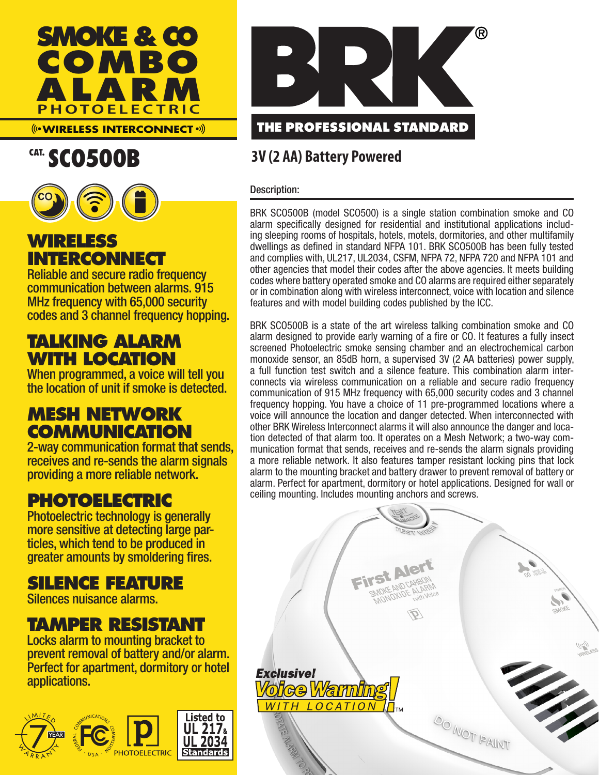

**WIRELESS INTERCONNECT**

# CAT. SCO500B



**WIRELESS INTERCONNECT**

Reliable and secure radio frequency communication between alarms. 915 MHz frequency with 65,000 security codes and 3 channel frequency hopping.

## **TALKING ALARM WITH LOCATION**

When programmed, a voice will tell you the location of unit if smoke is detected.

## **MESH NETWORK COMMUNICATION**

2-way communication format that sends, receives and re-sends the alarm signals providing a more reliable network.

## **PHOTOELECTRIC**

Photoelectric technology is generally more sensitive at detecting large par- ticles, which tend to be produced in greater amounts by smoldering fires.

## **SILENCE FEATURE**

Silences nuisance alarms.

## **TAMPER RESISTANT**

Locks alarm to mounting bracket to prevent removal of battery and/or alarm. Perfect for apartment, dormitory or hotel applications.





### **3V (2 AA) Battery Powered**

#### Description:

BRK SCO500B (model SCO500) is a single station combination smoke and CO alarm specifically designed for residential and institutional applications including sleeping rooms of hospitals, hotels, motels, dormitories, and other multifamily dwellings as defined in standard NFPA 101. BRK SCO500B has been fully tested and complies with, UL217, UL2034, CSFM, NFPA 72, NFPA 720 and NFPA 101 and other agencies that model their codes after the above agencies. It meets building codes where battery operated smoke and CO alarms are required either separately or in combination along with wireless interconnect, voice with location and silence features and with model building codes published by the ICC.

BRK SCO500B is a state of the art wireless talking combination smoke and CO alarm designed to provide early warning of a fire or CO. It features a fully insect screened Photoelectric smoke sensing chamber and an electrochemical carbon monoxide sensor, an 85dB horn, a supervised 3V (2 AA batteries) power supply, a full function test switch and a silence feature. This combination alarm interconnects via wireless communication on a reliable and secure radio frequency communication of 915 MHz frequency with 65,000 security codes and 3 channel frequency hopping. You have a choice of 11 pre-programmed locations where a voice will announce the location and danger detected. When interconnected with other BRK Wireless Interconnect alarms it will also announce the danger and location detected of that alarm too. It operates on a Mesh Network; a two-way communication format that sends, receives and re-sends the alarm signals providing a more reliable network. It also features tamper resistant locking pins that lock alarm to the mounting bracket and battery drawer to prevent removal of battery or alarm. Perfect for apartment, dormitory or hotel applications. Designed for wall or ceiling mounting. Includes mounting anchors and screws.